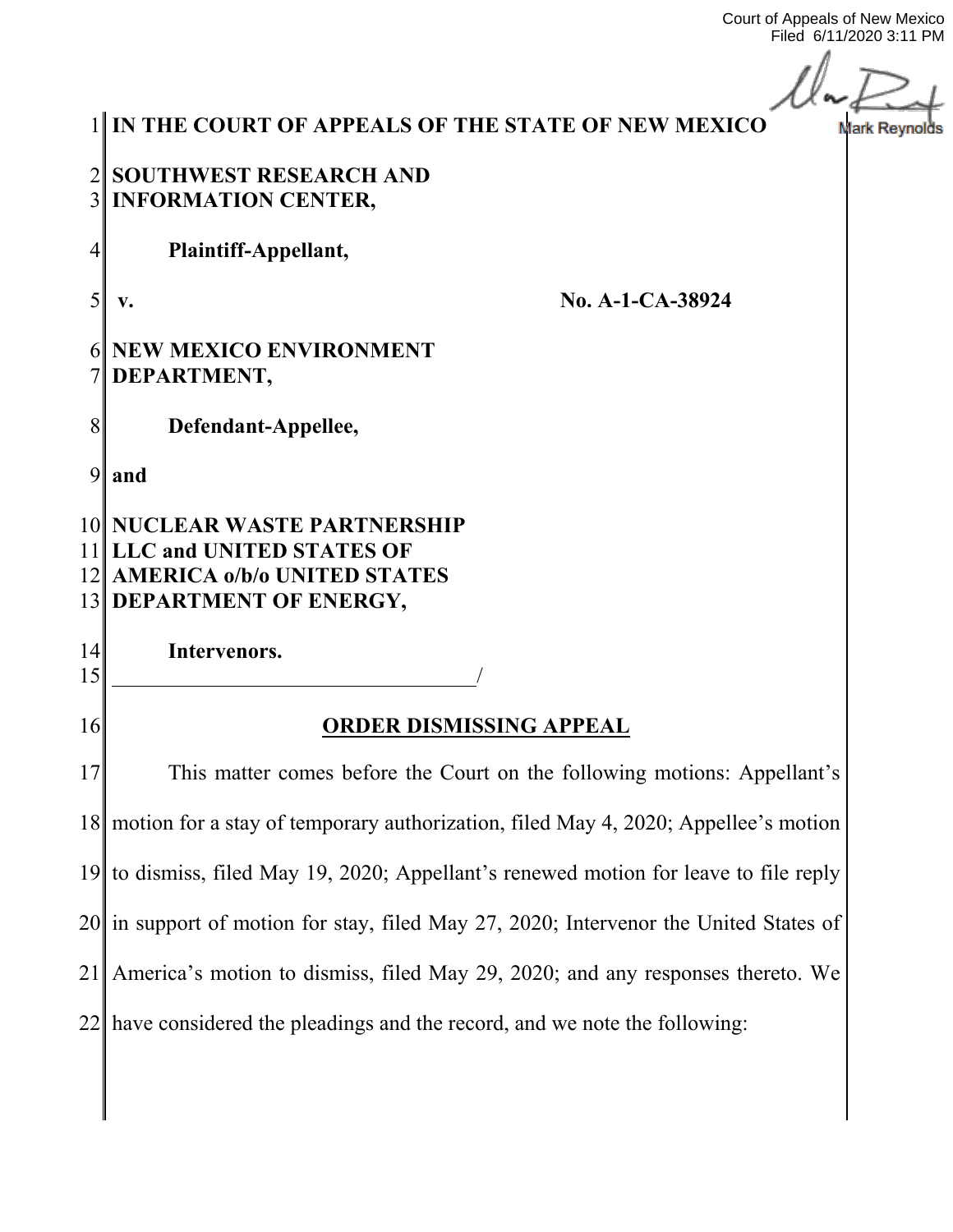Court of Appeals of New Mexico Filed 6/11/2020 3:11 PM

 $\overline{L}$ .<br>Irk Reynolds

|                | IN THE COURT OF APPEALS OF THE STATE OF NEW MEXICO<br>Ma                                                                  |  |
|----------------|---------------------------------------------------------------------------------------------------------------------------|--|
| 3 <sup>1</sup> | 2 SOUTHWEST RESEARCH AND<br><b>INFORMATION CENTER,</b>                                                                    |  |
| 4              | Plaintiff-Appellant,                                                                                                      |  |
| $\mathcal{S}$  | No. A-1-CA-38924<br>V.                                                                                                    |  |
|                | NEW MEXICO ENVIRONMENT<br>DEPARTMENT,                                                                                     |  |
| 8              | Defendant-Appellee,                                                                                                       |  |
| 9              | and                                                                                                                       |  |
|                | 10 NUCLEAR WASTE PARTNERSHIP<br>11 LLC and UNITED STATES OF<br>12 AMERICA o/b/o UNITED STATES<br>13 DEPARTMENT OF ENERGY, |  |
| 14<br>15       | Intervenors.                                                                                                              |  |
| 16             | <b>ORDER DISMISSING APPEAL</b>                                                                                            |  |
| 17             | This matter comes before the Court on the following motions: Appellant's                                                  |  |
|                | 18 motion for a stay of temporary authorization, filed May 4, 2020; Appellee's motion                                     |  |
|                | 19 to dismiss, filed May 19, 2020; Appellant's renewed motion for leave to file reply                                     |  |
|                | 20 in support of motion for stay, filed May 27, 2020; Intervenor the United States of                                     |  |
|                | 21 America's motion to dismiss, filed May 29, 2020; and any responses thereto. We                                         |  |
|                | $22$ have considered the pleadings and the record, and we note the following:                                             |  |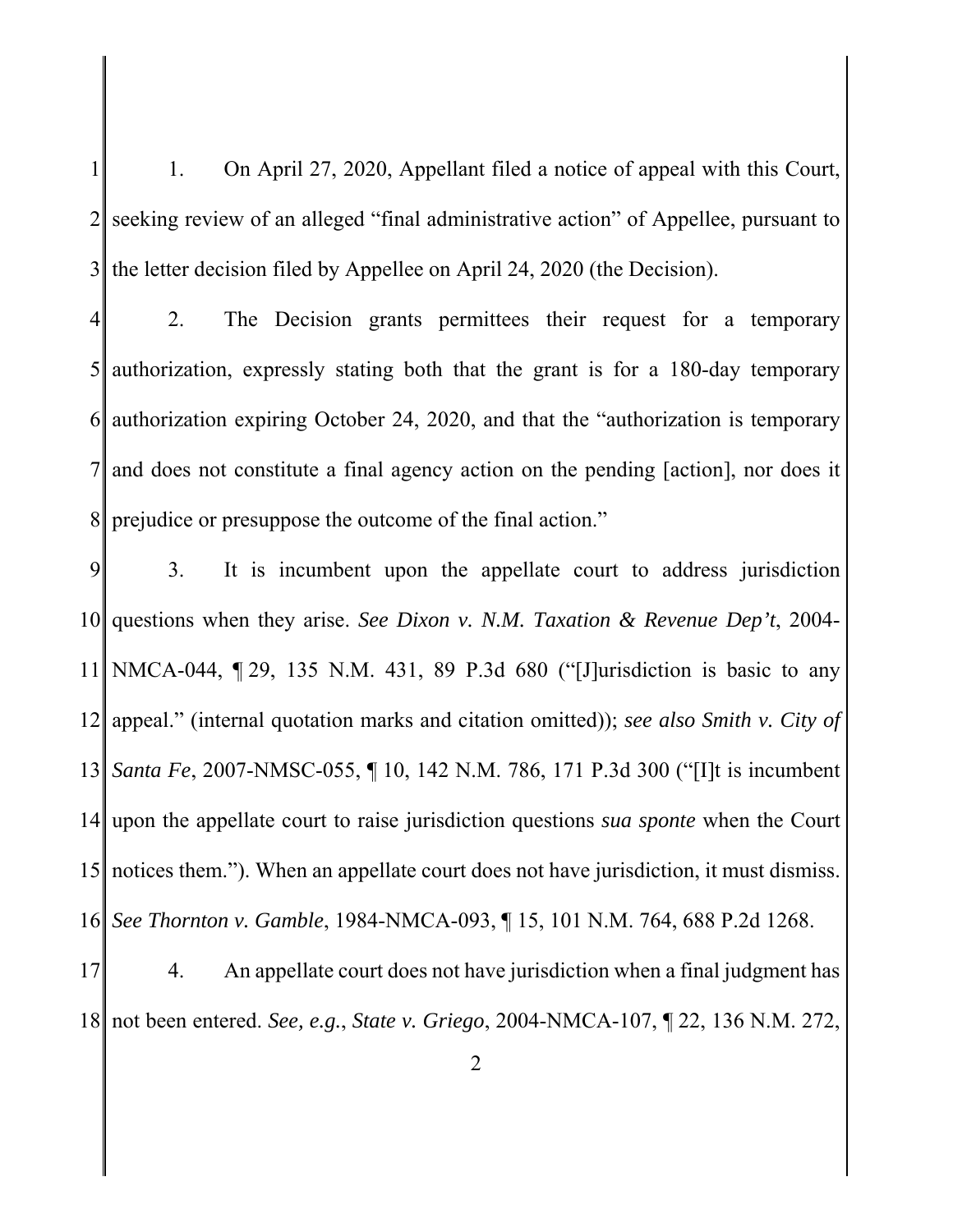$1 \parallel$  1. On April 27, 2020, Appellant filed a notice of appeal with this Court,  $2\parallel$  seeking review of an alleged "final administrative action" of Appellee, pursuant to  $3$  the letter decision filed by Appellee on April 24, 2020 (the Decision).

4 2. The Decision grants permittees their request for a temporary  $5$  authorization, expressly stating both that the grant is for a 180-day temporary 6 authorization expiring October 24, 2020, and that the "authorization is temporary 7 and does not constitute a final agency action on the pending [action], nor does it 8| prejudice or presuppose the outcome of the final action."

9 3. It is incumbent upon the appellate court to address jurisdiction 10 questions when they arise. *See Dixon v. N.M. Taxation & Revenue Dep't*, 2004- 11 NMCA-044, ¶ 29, 135 N.M. 431, 89 P.3d 680 ("[J]urisdiction is basic to any 12 appeal." (internal quotation marks and citation omitted)); *see also Smith v. City of*  13 *Santa Fe*, 2007-NMSC-055, ¶ 10, 142 N.M. 786, 171 P.3d 300 ("[I]t is incumbent 14 upon the appellate court to raise jurisdiction questions *sua sponte* when the Court 15 notices them."). When an appellate court does not have jurisdiction, it must dismiss. 16 *See Thornton v. Gamble*, 1984-NMCA-093, ¶ 15, 101 N.M. 764, 688 P.2d 1268.

17 4. An appellate court does not have jurisdiction when a final judgment has 18 not been entered. *See, e.g.*, *State v. Griego*, 2004-NMCA-107, ¶ 22, 136 N.M. 272,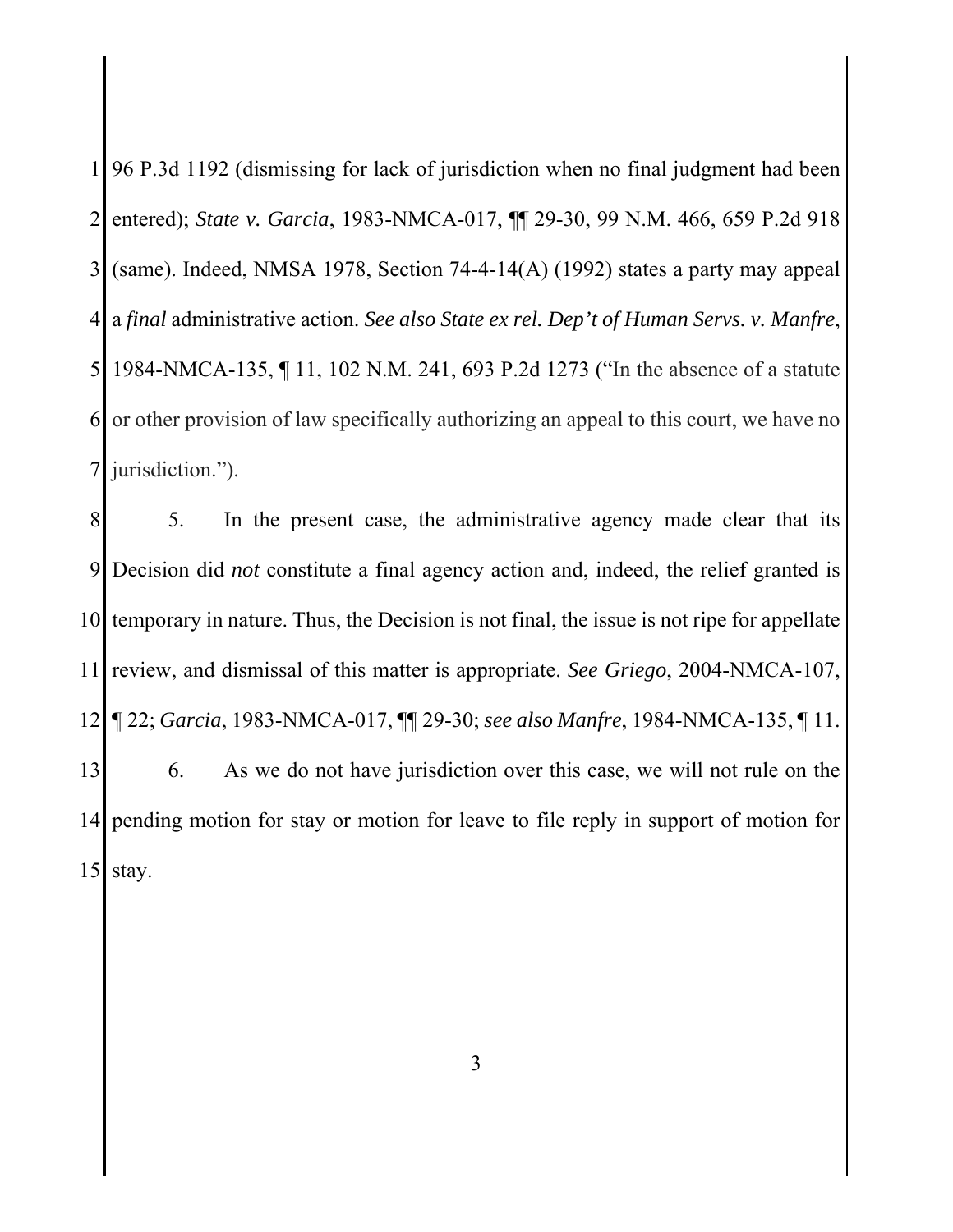$1$  96 P.3d 1192 (dismissing for lack of jurisdiction when no final judgment had been 2 entered); *State v. Garcia*, 1983-NMCA-017, ¶¶ 29-30, 99 N.M. 466, 659 P.2d 918  $3$  (same). Indeed, NMSA 1978, Section 74-4-14(A) (1992) states a party may appeal 4 a *final* administrative action. *See also State ex rel. Dep't of Human Servs. v. Manfre*, 5 1984-NMCA-135, ¶ 11, 102 N.M. 241, 693 P.2d 1273 ("In the absence of a statute  $6$  or other provision of law specifically authorizing an appeal to this court, we have no  $7$  jurisdiction.").

8 5. In the present case, the administrative agency made clear that its 9 Decision did *not* constitute a final agency action and, indeed, the relief granted is  $10$  temporary in nature. Thus, the Decision is not final, the issue is not ripe for appellate 11 review, and dismissal of this matter is appropriate. *See Griego*, 2004-NMCA-107, 12 ¶ 22; *Garcia*, 1983-NMCA-017, ¶¶ 29-30; *see also Manfre*, 1984-NMCA-135, ¶ 11. 13 6. As we do not have jurisdiction over this case, we will not rule on the 14 pending motion for stay or motion for leave to file reply in support of motion for  $15$  stay.